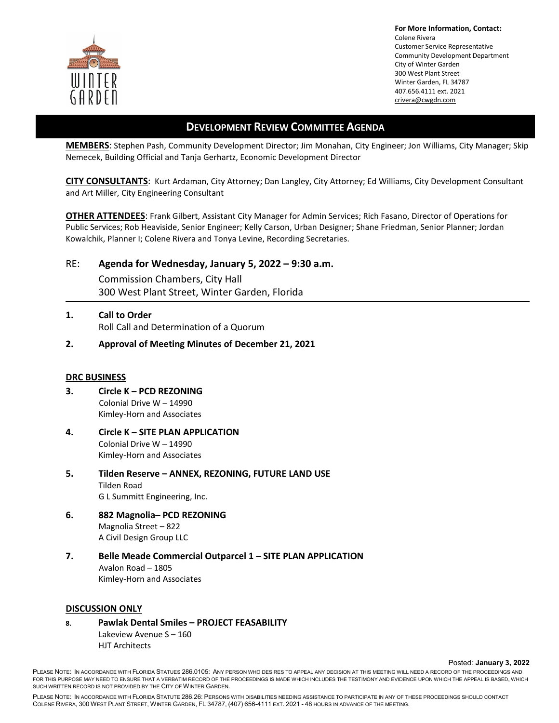

**For More Information, Contact:**  Colene Rivera Customer Service Representative Community Development Department City of Winter Garden 300 West Plant Street Winter Garden, FL 34787 407.656.4111 ext. 2021 crivera@cwgdn.com

## **DEVELOPMENT REVIEW COMMITTEE AGENDA**

**MEMBERS**: Stephen Pash, Community Development Director; Jim Monahan, City Engineer; Jon Williams, City Manager; Skip Nemecek, Building Official and Tanja Gerhartz, Economic Development Director

**CITY CONSULTANTS**: Kurt Ardaman, City Attorney; Dan Langley, City Attorney; Ed Williams, City Development Consultant and Art Miller, City Engineering Consultant

**OTHER ATTENDEES**: Frank Gilbert, Assistant City Manager for Admin Services; Rich Fasano, Director of Operations for Public Services; Rob Heaviside, Senior Engineer; Kelly Carson, Urban Designer; Shane Friedman, Senior Planner; Jordan Kowalchik, Planner I; Colene Rivera and Tonya Levine, Recording Secretaries.

RE: **Agenda for Wednesday, January 5, 2022 – 9:30 a.m.** 

Commission Chambers, City Hall 300 West Plant Street, Winter Garden, Florida

- **1. Call to Order** Roll Call and Determination of a Quorum
- **2. Approval of Meeting Minutes of December 21, 2021**

## **DRC BUSINESS**

- **3. Circle K PCD REZONING** Colonial Drive W – 14990 Kimley-Horn and Associates
- **4. Circle K SITE PLAN APPLICATION**  Colonial Drive W – 14990 Kimley-Horn and Associates
- **5. Tilden Reserve ANNEX, REZONING, FUTURE LAND USE**  Tilden Road G L Summitt Engineering, Inc.
- **6. 882 Magnolia– PCD REZONING**  Magnolia Street – 822 A Civil Design Group LLC
- **7. Belle Meade Commercial Outparcel 1 SITE PLAN APPLICATION** Avalon Road – 1805 Kimley-Horn and Associates

## **DISCUSSION ONLY**

**8. Pawlak Dental Smiles – PROJECT FEASABILITY**  Lakeview Avenue S – 160 HJT Architects

Posted: **January 3, 2022** 

PLEASE NOTE: IN ACCORDANCE WITH FLORIDA STATUES 286.0105: ANY PERSON WHO DESIRES TO APPEAL ANY DECISION AT THIS MEETING WILL NEED A RECORD OF THE PROCEEDINGS AND FOR THIS PURPOSE MAY NEED TO ENSURE THAT A VERBATIM RECORD OF THE PROCEEDINGS IS MADE WHICH INCLUDES THE TESTIMONY AND EVIDENCE UPON WHICH THE APPEAL IS BASED, WHICH SUCH WRITTEN RECORD IS NOT PROVIDED BY THE CITY OF WINTER GARDEN.

PLEASE NOTE: IN ACCORDANCE WITH FLORIDA STATUTE 286.26: PERSONS WITH DISABILITIES NEEDING ASSISTANCE TO PARTICIPATE IN ANY OF THESE PROCEEDINGS SHOULD CONTACT COLENE RIVERA, 300 WEST PLANT STREET, WINTER GARDEN, FL 34787, (407) 656-4111 EXT. 2021 - 48 HOURS IN ADVANCE OF THE MEETING.